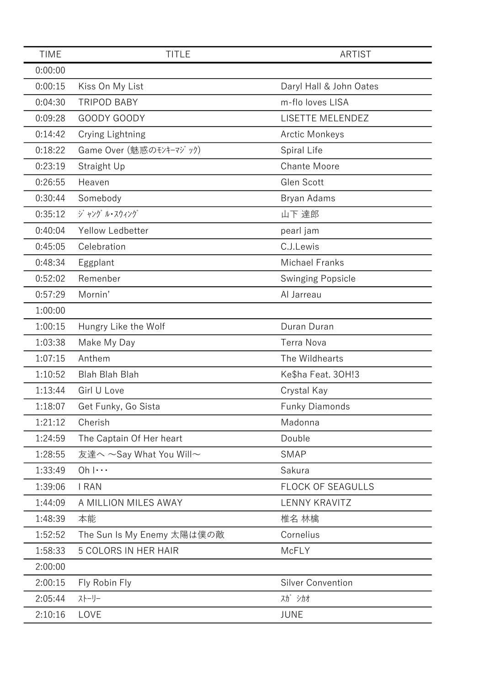| 0:00:00<br>0:00:15<br>Kiss On My List<br>Daryl Hall & John Oates<br>m-flo loves LISA<br>0:04:30<br><b>TRIPOD BABY</b><br>GOODY GOODY<br>LISETTE MELENDEZ<br>0:09:28<br>0:14:42<br>Crying Lightning<br><b>Arctic Monkeys</b><br>0:18:22<br>Game Over (魅惑のモンキーマジック)<br>Spiral Life<br>0:23:19<br>Straight Up<br><b>Chante Moore</b><br>Glen Scott<br>0:26:55<br>Heaven<br>0:30:44<br>Somebody<br>Bryan Adams<br>ジャング ル・スウィング<br>0:35:12<br>山下 達郎<br>0:40:04<br>Yellow Ledbetter<br>pearl jam<br>C.J.Lewis<br>0:45:05<br>Celebration<br>0:48:34<br><b>Michael Franks</b><br>Eggplant<br>0:52:02<br>Remenber<br><b>Swinging Popsicle</b><br>0:57:29<br>Mornin'<br>Al Jarreau<br>1:00:00<br>1:00:15<br>Duran Duran<br>Hungry Like the Wolf<br>1:03:38<br><b>Terra Nova</b><br>Make My Day<br>1:07:15<br>Anthem<br>The Wildhearts<br><b>Blah Blah Blah</b><br>1:10:52<br>Ke\$ha Feat. 30H!3<br>Girl U Love<br>1:13:44<br>Crystal Kay<br>1:18:07<br>Get Funky, Go Sista<br><b>Funky Diamonds</b><br>1:21:12<br>Cherish<br>Madonna<br>Double<br>1:24:59<br>The Captain Of Her heart<br>友達へ ~Say What You Will~<br><b>SMAP</b><br>1:28:55<br>1:33:49<br>$Oh   \cdots$<br>Sakura<br>1:39:06<br><b>I RAN</b><br><b>FLOCK OF SEAGULLS</b><br><b>LENNY KRAVITZ</b><br>1:44:09<br>A MILLION MILES AWAY<br>1:48:39<br>本能<br>椎名 林檎<br>1:52:52<br>The Sun Is My Enemy 太陽は僕の敵<br>Cornelius<br>1:58:33<br><b>5 COLORS IN HER HAIR</b><br>McFLY<br>2:00:00<br>2:00:15<br><b>Silver Convention</b><br>Fly Robin Fly<br>ストーリー<br>スガ シカオ<br>2:05:44<br>2:10:16<br>LOVE<br><b>JUNE</b> | <b>TIME</b> | <b>TITLE</b> | <b>ARTIST</b> |
|----------------------------------------------------------------------------------------------------------------------------------------------------------------------------------------------------------------------------------------------------------------------------------------------------------------------------------------------------------------------------------------------------------------------------------------------------------------------------------------------------------------------------------------------------------------------------------------------------------------------------------------------------------------------------------------------------------------------------------------------------------------------------------------------------------------------------------------------------------------------------------------------------------------------------------------------------------------------------------------------------------------------------------------------------------------------------------------------------------------------------------------------------------------------------------------------------------------------------------------------------------------------------------------------------------------------------------------------------------------------------------------------------------------------------------------------------------------------------------------------------------------------------------------------------------------|-------------|--------------|---------------|
|                                                                                                                                                                                                                                                                                                                                                                                                                                                                                                                                                                                                                                                                                                                                                                                                                                                                                                                                                                                                                                                                                                                                                                                                                                                                                                                                                                                                                                                                                                                                                                |             |              |               |
|                                                                                                                                                                                                                                                                                                                                                                                                                                                                                                                                                                                                                                                                                                                                                                                                                                                                                                                                                                                                                                                                                                                                                                                                                                                                                                                                                                                                                                                                                                                                                                |             |              |               |
|                                                                                                                                                                                                                                                                                                                                                                                                                                                                                                                                                                                                                                                                                                                                                                                                                                                                                                                                                                                                                                                                                                                                                                                                                                                                                                                                                                                                                                                                                                                                                                |             |              |               |
|                                                                                                                                                                                                                                                                                                                                                                                                                                                                                                                                                                                                                                                                                                                                                                                                                                                                                                                                                                                                                                                                                                                                                                                                                                                                                                                                                                                                                                                                                                                                                                |             |              |               |
|                                                                                                                                                                                                                                                                                                                                                                                                                                                                                                                                                                                                                                                                                                                                                                                                                                                                                                                                                                                                                                                                                                                                                                                                                                                                                                                                                                                                                                                                                                                                                                |             |              |               |
|                                                                                                                                                                                                                                                                                                                                                                                                                                                                                                                                                                                                                                                                                                                                                                                                                                                                                                                                                                                                                                                                                                                                                                                                                                                                                                                                                                                                                                                                                                                                                                |             |              |               |
|                                                                                                                                                                                                                                                                                                                                                                                                                                                                                                                                                                                                                                                                                                                                                                                                                                                                                                                                                                                                                                                                                                                                                                                                                                                                                                                                                                                                                                                                                                                                                                |             |              |               |
|                                                                                                                                                                                                                                                                                                                                                                                                                                                                                                                                                                                                                                                                                                                                                                                                                                                                                                                                                                                                                                                                                                                                                                                                                                                                                                                                                                                                                                                                                                                                                                |             |              |               |
|                                                                                                                                                                                                                                                                                                                                                                                                                                                                                                                                                                                                                                                                                                                                                                                                                                                                                                                                                                                                                                                                                                                                                                                                                                                                                                                                                                                                                                                                                                                                                                |             |              |               |
|                                                                                                                                                                                                                                                                                                                                                                                                                                                                                                                                                                                                                                                                                                                                                                                                                                                                                                                                                                                                                                                                                                                                                                                                                                                                                                                                                                                                                                                                                                                                                                |             |              |               |
|                                                                                                                                                                                                                                                                                                                                                                                                                                                                                                                                                                                                                                                                                                                                                                                                                                                                                                                                                                                                                                                                                                                                                                                                                                                                                                                                                                                                                                                                                                                                                                |             |              |               |
|                                                                                                                                                                                                                                                                                                                                                                                                                                                                                                                                                                                                                                                                                                                                                                                                                                                                                                                                                                                                                                                                                                                                                                                                                                                                                                                                                                                                                                                                                                                                                                |             |              |               |
|                                                                                                                                                                                                                                                                                                                                                                                                                                                                                                                                                                                                                                                                                                                                                                                                                                                                                                                                                                                                                                                                                                                                                                                                                                                                                                                                                                                                                                                                                                                                                                |             |              |               |
|                                                                                                                                                                                                                                                                                                                                                                                                                                                                                                                                                                                                                                                                                                                                                                                                                                                                                                                                                                                                                                                                                                                                                                                                                                                                                                                                                                                                                                                                                                                                                                |             |              |               |
|                                                                                                                                                                                                                                                                                                                                                                                                                                                                                                                                                                                                                                                                                                                                                                                                                                                                                                                                                                                                                                                                                                                                                                                                                                                                                                                                                                                                                                                                                                                                                                |             |              |               |
|                                                                                                                                                                                                                                                                                                                                                                                                                                                                                                                                                                                                                                                                                                                                                                                                                                                                                                                                                                                                                                                                                                                                                                                                                                                                                                                                                                                                                                                                                                                                                                |             |              |               |
|                                                                                                                                                                                                                                                                                                                                                                                                                                                                                                                                                                                                                                                                                                                                                                                                                                                                                                                                                                                                                                                                                                                                                                                                                                                                                                                                                                                                                                                                                                                                                                |             |              |               |
|                                                                                                                                                                                                                                                                                                                                                                                                                                                                                                                                                                                                                                                                                                                                                                                                                                                                                                                                                                                                                                                                                                                                                                                                                                                                                                                                                                                                                                                                                                                                                                |             |              |               |
|                                                                                                                                                                                                                                                                                                                                                                                                                                                                                                                                                                                                                                                                                                                                                                                                                                                                                                                                                                                                                                                                                                                                                                                                                                                                                                                                                                                                                                                                                                                                                                |             |              |               |
|                                                                                                                                                                                                                                                                                                                                                                                                                                                                                                                                                                                                                                                                                                                                                                                                                                                                                                                                                                                                                                                                                                                                                                                                                                                                                                                                                                                                                                                                                                                                                                |             |              |               |
|                                                                                                                                                                                                                                                                                                                                                                                                                                                                                                                                                                                                                                                                                                                                                                                                                                                                                                                                                                                                                                                                                                                                                                                                                                                                                                                                                                                                                                                                                                                                                                |             |              |               |
|                                                                                                                                                                                                                                                                                                                                                                                                                                                                                                                                                                                                                                                                                                                                                                                                                                                                                                                                                                                                                                                                                                                                                                                                                                                                                                                                                                                                                                                                                                                                                                |             |              |               |
|                                                                                                                                                                                                                                                                                                                                                                                                                                                                                                                                                                                                                                                                                                                                                                                                                                                                                                                                                                                                                                                                                                                                                                                                                                                                                                                                                                                                                                                                                                                                                                |             |              |               |
|                                                                                                                                                                                                                                                                                                                                                                                                                                                                                                                                                                                                                                                                                                                                                                                                                                                                                                                                                                                                                                                                                                                                                                                                                                                                                                                                                                                                                                                                                                                                                                |             |              |               |
|                                                                                                                                                                                                                                                                                                                                                                                                                                                                                                                                                                                                                                                                                                                                                                                                                                                                                                                                                                                                                                                                                                                                                                                                                                                                                                                                                                                                                                                                                                                                                                |             |              |               |
|                                                                                                                                                                                                                                                                                                                                                                                                                                                                                                                                                                                                                                                                                                                                                                                                                                                                                                                                                                                                                                                                                                                                                                                                                                                                                                                                                                                                                                                                                                                                                                |             |              |               |
|                                                                                                                                                                                                                                                                                                                                                                                                                                                                                                                                                                                                                                                                                                                                                                                                                                                                                                                                                                                                                                                                                                                                                                                                                                                                                                                                                                                                                                                                                                                                                                |             |              |               |
|                                                                                                                                                                                                                                                                                                                                                                                                                                                                                                                                                                                                                                                                                                                                                                                                                                                                                                                                                                                                                                                                                                                                                                                                                                                                                                                                                                                                                                                                                                                                                                |             |              |               |
|                                                                                                                                                                                                                                                                                                                                                                                                                                                                                                                                                                                                                                                                                                                                                                                                                                                                                                                                                                                                                                                                                                                                                                                                                                                                                                                                                                                                                                                                                                                                                                |             |              |               |
|                                                                                                                                                                                                                                                                                                                                                                                                                                                                                                                                                                                                                                                                                                                                                                                                                                                                                                                                                                                                                                                                                                                                                                                                                                                                                                                                                                                                                                                                                                                                                                |             |              |               |
|                                                                                                                                                                                                                                                                                                                                                                                                                                                                                                                                                                                                                                                                                                                                                                                                                                                                                                                                                                                                                                                                                                                                                                                                                                                                                                                                                                                                                                                                                                                                                                |             |              |               |
|                                                                                                                                                                                                                                                                                                                                                                                                                                                                                                                                                                                                                                                                                                                                                                                                                                                                                                                                                                                                                                                                                                                                                                                                                                                                                                                                                                                                                                                                                                                                                                |             |              |               |
|                                                                                                                                                                                                                                                                                                                                                                                                                                                                                                                                                                                                                                                                                                                                                                                                                                                                                                                                                                                                                                                                                                                                                                                                                                                                                                                                                                                                                                                                                                                                                                |             |              |               |
|                                                                                                                                                                                                                                                                                                                                                                                                                                                                                                                                                                                                                                                                                                                                                                                                                                                                                                                                                                                                                                                                                                                                                                                                                                                                                                                                                                                                                                                                                                                                                                |             |              |               |
|                                                                                                                                                                                                                                                                                                                                                                                                                                                                                                                                                                                                                                                                                                                                                                                                                                                                                                                                                                                                                                                                                                                                                                                                                                                                                                                                                                                                                                                                                                                                                                |             |              |               |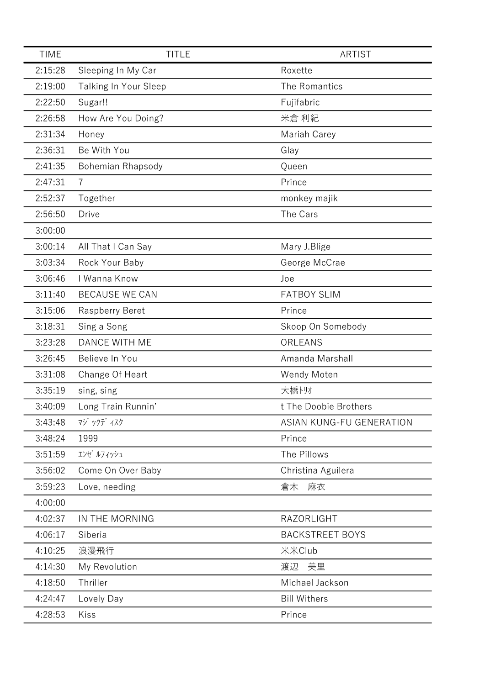| <b>TIME</b> | <b>TITLE</b>                 | <b>ARTIST</b>            |
|-------------|------------------------------|--------------------------|
| 2:15:28     | Sleeping In My Car           | Roxette                  |
| 2:19:00     | <b>Talking In Your Sleep</b> | The Romantics            |
| 2:22:50     | Sugar!!                      | Fujifabric               |
| 2:26:58     | How Are You Doing?           | 米倉 利紀                    |
| 2:31:34     | Honey                        | Mariah Carey             |
| 2:36:31     | Be With You                  | Glay                     |
| 2:41:35     | <b>Bohemian Rhapsody</b>     | Queen                    |
| 2:47:31     | $\overline{7}$               | Prince                   |
| 2:52:37     | Together                     | monkey majik             |
| 2:56:50     | <b>Drive</b>                 | The Cars                 |
| 3:00:00     |                              |                          |
| 3:00:14     | All That I Can Say           | Mary J.Blige             |
| 3:03:34     | Rock Your Baby               | George McCrae            |
| 3:06:46     | I Wanna Know                 | Joe                      |
| 3:11:40     | <b>BECAUSE WE CAN</b>        | <b>FATBOY SLIM</b>       |
| 3:15:06     | <b>Raspberry Beret</b>       | Prince                   |
| 3:18:31     | Sing a Song                  | Skoop On Somebody        |
| 3:23:28     | <b>DANCE WITH ME</b>         | ORLEANS                  |
| 3:26:45     | Believe In You               | Amanda Marshall          |
| 3:31:08     | Change Of Heart              | Wendy Moten              |
| 3:35:19     | sing, sing                   | 大橋トリオ                    |
| 3:40:09     | Long Train Runnin'           | t The Doobie Brothers    |
| 3:43:48     | マジ ックデ ィスク                   | ASIAN KUNG-FU GENERATION |
| 3:48:24     | 1999                         | Prince                   |
| 3:51:59     | エンゼ ルフィッシュ                   | The Pillows              |
| 3:56:02     | Come On Over Baby            | Christina Aguilera       |
| 3:59:23     | Love, needing                | 麻衣<br>倉木                 |
| 4:00:00     |                              |                          |
| 4:02:37     | IN THE MORNING               | RAZORLIGHT               |
| 4:06:17     | Siberia                      | <b>BACKSTREET BOYS</b>   |
| 4:10:25     | 浪漫飛行                         | 米米Club                   |
| 4:14:30     | My Revolution                | 美里<br>渡辺                 |
| 4:18:50     | Thriller                     | Michael Jackson          |
| 4:24:47     | Lovely Day                   | <b>Bill Withers</b>      |
| 4:28:53     | Kiss                         | Prince                   |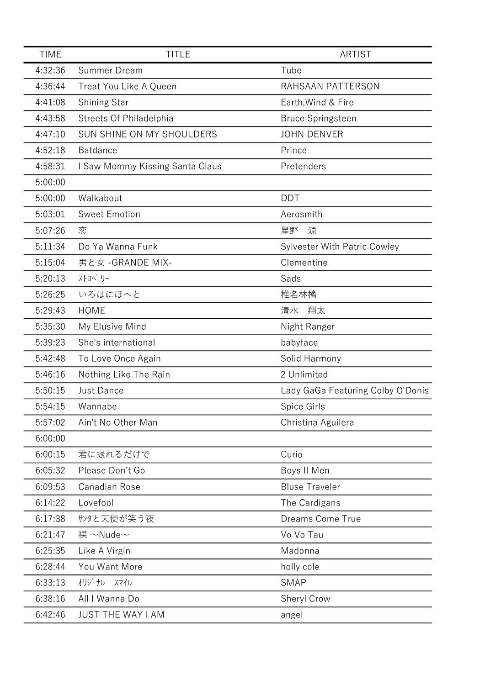| <b>TIME</b> | <b>TITLE</b>                    | <b>ARTIST</b>                       |
|-------------|---------------------------------|-------------------------------------|
| 4:32:36     | Summer Dream                    | Tube                                |
| 4:36:44     | Treat You Like A Queen          | RAHSAAN PATTERSON                   |
| 4:41:08     | <b>Shining Star</b>             | Earth, Wind & Fire                  |
| 4:43:58     | Streets Of Philadelphia         | <b>Bruce Springsteen</b>            |
| 4:47:10     | SUN SHINE ON MY SHOULDERS       | <b>JOHN DENVER</b>                  |
| 4:52:18     | <b>Batdance</b>                 | Prince                              |
| 4:58:31     | I Saw Mommy Kissing Santa Claus | Pretenders                          |
| 5:00:00     |                                 |                                     |
| 5:00:00     | Walkabout                       | <b>DDT</b>                          |
| 5:03:01     | <b>Sweet Emotion</b>            | Aerosmith                           |
| 5:07:26     | 恋                               | 星野<br>源                             |
| 5:11:34     | Do Ya Wanna Funk                | <b>Sylvester With Patric Cowley</b> |
| 5:15:04     | 男と女 - GRANDE MIX-               | Clementine                          |
| 5:20:13     | ストロヘ゛リー                         | Sads                                |
| 5:26:25     | いろはにほへと                         | 椎名林檎                                |
| 5:29:43     | <b>HOME</b>                     | 翔太<br>清水                            |
| 5:35:30     | My Elusive Mind                 | Night Ranger                        |
| 5:39:23     | She's international             | babyface                            |
| 5:42:48     | To Love Once Again              | Solid Harmony                       |
| 5:46:16     | Nothing Like The Rain           | 2 Unlimited                         |
| 5:50:15     | <b>Just Dance</b>               | Lady GaGa Featuring Colby O'Donis   |
| 5:54:15     | Wannabe                         | Spice Girls                         |
| 5:57:02     | Ain't No Other Man              | Christina Aguilera                  |
| 6:00:00     |                                 |                                     |
| 6:00:15     | 君に振れるだけで                        | Curio                               |
| 6:05:32     | Please Don't Go                 | Boys II Men                         |
| 6:09:53     | Canadian Rose                   | <b>Bluse Traveler</b>               |
| 6:14:22     | Lovefool                        | The Cardigans                       |
| 6:17:38     | サンタと天使が笑う夜                      | Dreams Come True                    |
| 6:21:47     | 裸 ~Nude~                        | Vo Vo Tau                           |
| 6:25:35     | Like A Virgin                   | Madonna                             |
| 6:28:44     | You Want More                   | holly cole                          |
| 6:33:13     | オリジ ナル スマイル                     | <b>SMAP</b>                         |
| 6:38:16     | All I Wanna Do                  | Sheryl Crow                         |
| 6:42:46     | <b>JUST THE WAY I AM</b>        | angel                               |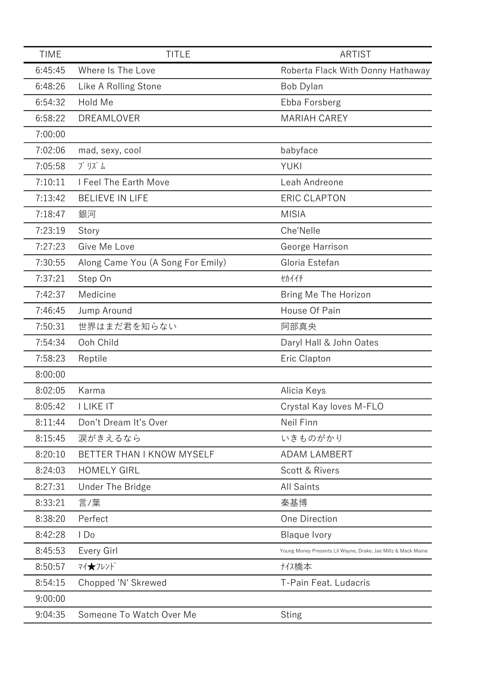| <b>TIME</b> | <b>TITLE</b>                      | <b>ARTIST</b>                                                 |
|-------------|-----------------------------------|---------------------------------------------------------------|
| 6:45:45     | Where Is The Love                 | Roberta Flack With Donny Hathaway                             |
| 6:48:26     | Like A Rolling Stone              | Bob Dylan                                                     |
| 6:54:32     | Hold Me                           | Ebba Forsberg                                                 |
| 6:58:22     | DREAMLOVER                        | <b>MARIAH CAREY</b>                                           |
| 7:00:00     |                                   |                                                               |
| 7:02:06     | mad, sexy, cool                   | babyface                                                      |
| 7:05:58     | プ リズ ム                            | <b>YUKI</b>                                                   |
| 7:10:11     | I Feel The Earth Move             | Leah Andreone                                                 |
| 7:13:42     | <b>BELIEVE IN LIFE</b>            | <b>ERIC CLAPTON</b>                                           |
| 7:18:47     | 銀河                                | <b>MISIA</b>                                                  |
| 7:23:19     | Story                             | Che'Nelle                                                     |
| 7:27:23     | Give Me Love                      | George Harrison                                               |
| 7:30:55     | Along Came You (A Song For Emily) | Gloria Estefan                                                |
| 7:37:21     | Step On                           | セカイイチ                                                         |
| 7:42:37     | Medicine                          | Bring Me The Horizon                                          |
| 7:46:45     | Jump Around                       | House Of Pain                                                 |
| 7:50:31     | 世界はまだ君を知らない                       | 阿部真央                                                          |
| 7:54:34     | Ooh Child                         | Daryl Hall & John Oates                                       |
| 7:58:23     | Reptile                           | Eric Clapton                                                  |
| 8:00:00     |                                   |                                                               |
| 8:02:05     | Karma                             | Alicia Keys                                                   |
| 8:05:42     | <b>I LIKE IT</b>                  | Crystal Kay loves M-FLO                                       |
| 8:11:44     | Don't Dream It's Over             | Neil Finn                                                     |
| 8:15:45     | 涙がきえるなら                           | いきものがかり                                                       |
| 8:20:10     | BETTER THAN I KNOW MYSELF         | <b>ADAM LAMBERT</b>                                           |
| 8:24:03     | <b>HOMELY GIRL</b>                | Scott & Rivers                                                |
| 8:27:31     | Under The Bridge                  | <b>All Saints</b>                                             |
| 8:33:21     | 言/葉                               | 秦基博                                                           |
| 8:38:20     | Perfect                           | One Direction                                                 |
| 8:42:28     | 1 Do                              | <b>Blaque Ivory</b>                                           |
| 8:45:53     | Every Girl                        | Young Money Presents Lil Wayne, Drake, Jae Millz & Mack Maine |
| 8:50:57     | マイ★フレンド                           | ナイス橋本                                                         |
| 8:54:15     | Chopped 'N' Skrewed               | T-Pain Feat. Ludacris                                         |
| 9:00:00     |                                   |                                                               |
| 9:04:35     | Someone To Watch Over Me          | <b>Sting</b>                                                  |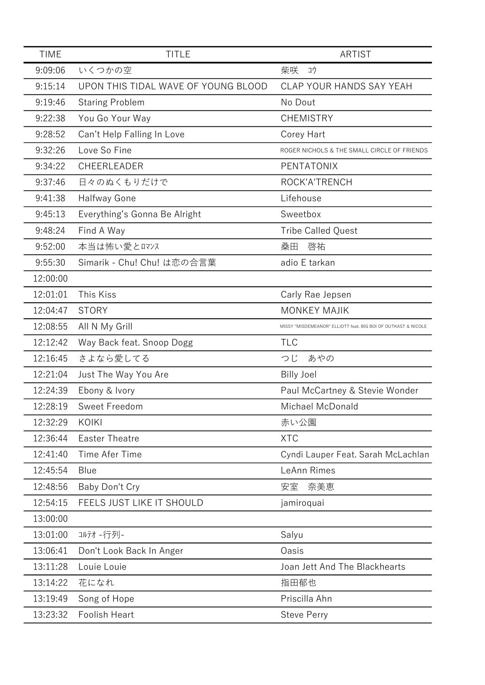| <b>TIME</b> | <b>TITLE</b>                        | ARTIST                                                        |
|-------------|-------------------------------------|---------------------------------------------------------------|
| 9:09:06     | いくつかの空                              | 柴咲<br>コウ                                                      |
| 9:15:14     | UPON THIS TIDAL WAVE OF YOUNG BLOOD | CLAP YOUR HANDS SAY YEAH                                      |
| 9:19:46     | <b>Staring Problem</b>              | No Dout                                                       |
| 9:22:38     | You Go Your Way                     | <b>CHEMISTRY</b>                                              |
| 9:28:52     | Can't Help Falling In Love          | Corey Hart                                                    |
| 9:32:26     | Love So Fine                        | ROGER NICHOLS & THE SMALL CIRCLE OF FRIENDS                   |
| 9:34:22     | CHEERLEADER                         | PENTATONIX                                                    |
| 9:37:46     | 日々のぬくもりだけで                          | ROCK'A'TRENCH                                                 |
| 9:41:38     | Halfway Gone                        | Lifehouse                                                     |
| 9:45:13     | Everything's Gonna Be Alright       | Sweetbox                                                      |
| 9:48:24     | Find A Way                          | <b>Tribe Called Quest</b>                                     |
| 9:52:00     | 本当は怖い愛とロマンス                         | 啓祐<br>桑田                                                      |
| 9:55:30     | Simarik - Chu! Chu! は恋の合言葉          | adio E tarkan                                                 |
| 12:00:00    |                                     |                                                               |
| 12:01:01    | This Kiss                           | Carly Rae Jepsen                                              |
| 12:04:47    | <b>STORY</b>                        | <b>MONKEY MAJIK</b>                                           |
| 12:08:55    | All N My Grill                      | MISSY "MISDEMEANOR" ELLIOTT feat. BIG BOI OF OUTKAST & NICOLE |
| 12:12:42    | Way Back feat. Snoop Dogg           | <b>TLC</b>                                                    |
| 12:16:45    | さよなら愛してる                            | つじ<br>あやの                                                     |
| 12:21:04    | Just The Way You Are                | <b>Billy Joel</b>                                             |
| 12:24:39    | Ebony & Ivory                       | Paul McCartney & Stevie Wonder                                |
| 12:28:19    | Sweet Freedom                       | Michael McDonald                                              |
| 12:32:29    | KOIKI                               | 赤い公園                                                          |
| 12:36:44    | <b>Easter Theatre</b>               | <b>XTC</b>                                                    |
| 12:41:40    | Time Afer Time                      | Cyndi Lauper Feat. Sarah McLachlan                            |
| 12:45:54    | Blue                                | LeAnn Rimes                                                   |
| 12:48:56    | Baby Don't Cry                      | 安室<br>奈美恵                                                     |
| 12:54:15    | FEELS JUST LIKE IT SHOULD           | jamiroquai                                                    |
| 13:00:00    |                                     |                                                               |
| 13:01:00    | コルテオ -行列-                           | Salyu                                                         |
| 13:06:41    | Don't Look Back In Anger            | Oasis                                                         |
| 13:11:28    | Louie Louie                         | Joan Jett And The Blackhearts                                 |
| 13:14:22    | 花になれ                                | 指田郁也                                                          |
| 13:19:49    | Song of Hope                        | Priscilla Ahn                                                 |
| 13:23:32    | Foolish Heart                       | <b>Steve Perry</b>                                            |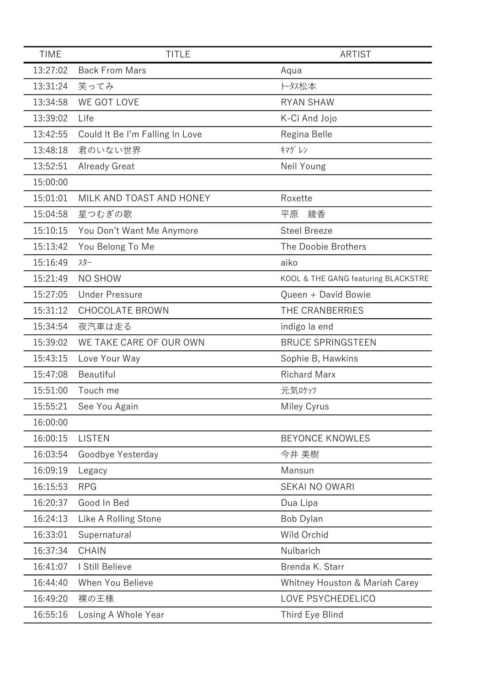| <b>TIME</b> | <b>TITLE</b>                    | <b>ARTIST</b>                       |
|-------------|---------------------------------|-------------------------------------|
| 13:27:02    | <b>Back From Mars</b>           | Aqua                                |
| 13:31:24    | 笑ってみ                            | トータス松本                              |
| 13:34:58    | WE GOT LOVE                     | <b>RYAN SHAW</b>                    |
| 13:39:02    | Life                            | K-Ci And Jojo                       |
| 13:42:55    | Could It Be I'm Falling In Love | Regina Belle                        |
| 13:48:18    | 君のいない世界                         | キマグレン                               |
| 13:52:51    | Already Great                   | Neil Young                          |
| 15:00:00    |                                 |                                     |
| 15:01:01    | MILK AND TOAST AND HONEY        | Roxette                             |
| 15:04:58    | 星つむぎの歌                          | 平原<br>綾香                            |
| 15:10:15    | You Don't Want Me Anymore       | <b>Steel Breeze</b>                 |
| 15:13:42    | You Belong To Me                | The Doobie Brothers                 |
| 15:16:49    | スター                             | aiko                                |
| 15:21:49    | <b>NO SHOW</b>                  | KOOL & THE GANG featuring BLACKSTRE |
| 15:27:05    | <b>Under Pressure</b>           | Queen + David Bowie                 |
| 15:31:12    | <b>CHOCOLATE BROWN</b>          | THE CRANBERRIES                     |
| 15:34:54    | 夜汽車は走る                          | indigo la end                       |
| 15:39:02    | WE TAKE CARE OF OUR OWN         | <b>BRUCE SPRINGSTEEN</b>            |
| 15:43:15    | Love Your Way                   | Sophie B, Hawkins                   |
| 15:47:08    | Beautiful                       | <b>Richard Marx</b>                 |
| 15:51:00    | Touch me                        | 元気ロケッツ                              |
| 15:55:21    | See You Again                   | Miley Cyrus                         |
| 16:00:00    |                                 |                                     |
| 16:00:15    | <b>LISTEN</b>                   | <b>BEYONCE KNOWLES</b>              |
| 16:03:54    | Goodbye Yesterday               | 今井 美樹                               |
| 16:09:19    | Legacy                          | Mansun                              |
| 16:15:53    | <b>RPG</b>                      | <b>SEKAI NO OWARI</b>               |
| 16:20:37    | Good In Bed                     | Dua Lipa                            |
| 16:24:13    | Like A Rolling Stone            | Bob Dylan                           |
| 16:33:01    | Supernatural                    | Wild Orchid                         |
| 16:37:34    | <b>CHAIN</b>                    | Nulbarich                           |
| 16:41:07    | I Still Believe                 | Brenda K. Starr                     |
| 16:44:40    | When You Believe                | Whitney Houston & Mariah Carey      |
| 16:49:20    | 裸の王様                            | LOVE PSYCHEDELICO                   |
| 16:55:16    | Losing A Whole Year             | Third Eye Blind                     |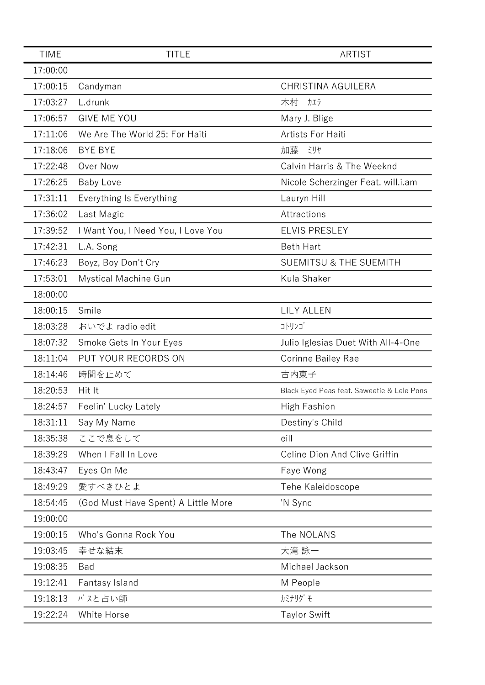| <b>TIME</b> | <b>TITLE</b>                        | ARTIST                                     |
|-------------|-------------------------------------|--------------------------------------------|
| 17:00:00    |                                     |                                            |
| 17:00:15    | Candyman                            | <b>CHRISTINA AGUILERA</b>                  |
| 17:03:27    | L.drunk                             | 木村<br>カエラ                                  |
| 17:06:57    | <b>GIVE ME YOU</b>                  | Mary J. Blige                              |
| 17:11:06    | We Are The World 25: For Haiti      | Artists For Haiti                          |
| 17:18:06    | <b>BYE BYE</b>                      | 加藤<br>ミリヤ                                  |
| 17:22:48    | Over Now                            | Calvin Harris & The Weeknd                 |
| 17:26:25    | <b>Baby Love</b>                    | Nicole Scherzinger Feat. will.i.am         |
| 17:31:11    | Everything Is Everything            | Lauryn Hill                                |
| 17:36:02    | Last Magic                          | Attractions                                |
| 17:39:52    | I Want You, I Need You, I Love You  | <b>ELVIS PRESLEY</b>                       |
| 17:42:31    | L.A. Song                           | <b>Beth Hart</b>                           |
| 17:46:23    | Boyz, Boy Don't Cry                 | <b>SUEMITSU &amp; THE SUEMITH</b>          |
| 17:53:01    | Mystical Machine Gun                | Kula Shaker                                |
| 18:00:00    |                                     |                                            |
| 18:00:15    | Smile                               | <b>LILY ALLEN</b>                          |
| 18:03:28    | おいでよ radio edit                     | コトリンゴ                                      |
| 18:07:32    | Smoke Gets In Your Eyes             | Julio Iglesias Duet With All-4-One         |
| 18:11:04    | PUT YOUR RECORDS ON                 | <b>Corinne Bailey Rae</b>                  |
| 18:14:46    | 時間を止めて                              | 古内東子                                       |
| 18:20:53    | Hit It                              | Black Eyed Peas feat. Saweetie & Lele Pons |
| 18:24:57    | Feelin' Lucky Lately                | High Fashion                               |
| 18:31:11    | Say My Name                         | Destiny's Child                            |
| 18:35:38    | ここで息をして                             | eill                                       |
| 18:39:29    | When I Fall In Love                 | Celine Dion And Clive Griffin              |
| 18:43:47    | Eyes On Me                          | Faye Wong                                  |
| 18:49:29    | 愛すべきひとよ                             | Tehe Kaleidoscope                          |
| 18:54:45    | (God Must Have Spent) A Little More | 'N Sync                                    |
| 19:00:00    |                                     |                                            |
| 19:00:15    | Who's Gonna Rock You                | The NOLANS                                 |
| 19:03:45    | 幸せな結末                               | 大滝 詠一                                      |
| 19:08:35    | Bad                                 | Michael Jackson                            |
| 19:12:41    | Fantasy Island                      | M People                                   |
| 19:18:13    | バスと占い師                              | <b>カミナリグ モ</b>                             |
| 19:22:24    | White Horse                         | <b>Taylor Swift</b>                        |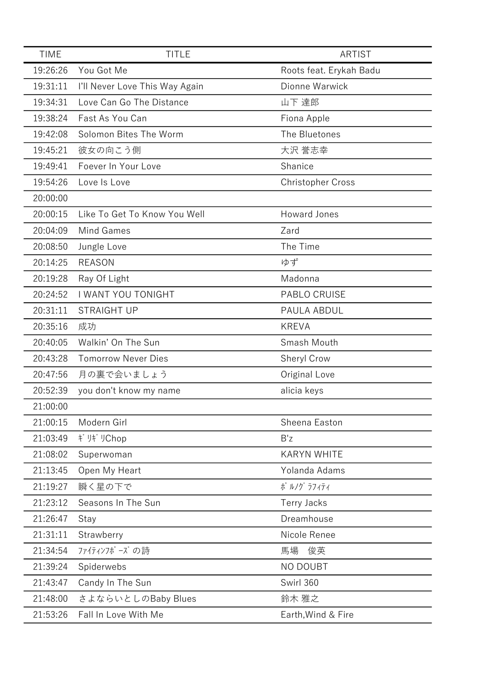| <b>TIME</b> | <b>TITLE</b>                   | <b>ARTIST</b>            |
|-------------|--------------------------------|--------------------------|
| 19:26:26    | You Got Me                     | Roots feat. Erykah Badu  |
| 19:31:11    | I'll Never Love This Way Again | Dionne Warwick           |
| 19:34:31    | Love Can Go The Distance       | 山下 達郎                    |
| 19:38:24    | Fast As You Can                | Fiona Apple              |
| 19:42:08    | Solomon Bites The Worm         | The Bluetones            |
| 19:45:21    | 彼女の向こう側                        | 大沢 誉志幸                   |
| 19:49:41    | Foever In Your Love            | Shanice                  |
| 19:54:26    | Love Is Love                   | <b>Christopher Cross</b> |
| 20:00:00    |                                |                          |
| 20:00:15    | Like To Get To Know You Well   | <b>Howard Jones</b>      |
| 20:04:09    | Mind Games                     | Zard                     |
| 20:08:50    | Jungle Love                    | The Time                 |
| 20:14:25    | <b>REASON</b>                  | ゆず                       |
| 20:19:28    | Ray Of Light                   | Madonna                  |
| 20:24:52    | <b>I WANT YOU TONIGHT</b>      | <b>PABLO CRUISE</b>      |
| 20:31:11    | <b>STRAIGHT UP</b>             | PAULA ABDUL              |
| 20:35:16    | 成功                             | <b>KREVA</b>             |
| 20:40:05    | Walkin' On The Sun             | Smash Mouth              |
| 20:43:28    | <b>Tomorrow Never Dies</b>     | Sheryl Crow              |
| 20:47:56    | 月の裏で会いましょう                     | Original Love            |
| 20:52:39    | you don't know my name         | alicia keys              |
| 21:00:00    |                                |                          |
| 21:00:15    | Modern Girl                    | Sheena Easton            |
| 21:03:49    | ギ リギ リChop                     | B'z                      |
| 21:08:02    | Superwoman                     | <b>KARYN WHITE</b>       |
| 21:13:45    | Open My Heart                  | Yolanda Adams            |
| 21:19:27    | 瞬く星の下で                         | ポ ルノグ ラフィティ              |
| 21:23:12    | Seasons In The Sun             | <b>Terry Jacks</b>       |
| 21:26:47    | Stay                           | Dreamhouse               |
| 21:31:11    | Strawberry                     | Nicole Renee             |
| 21:34:54    | ファイティンフポーズの詩                   | 馬場<br>俊英                 |
| 21:39:24    | Spiderwebs                     | NO DOUBT                 |
| 21:43:47    | Candy In The Sun               | Swirl 360                |
| 21:48:00    | さよならいとしのBaby Blues             | 鈴木 雅之                    |
| 21:53:26    | Fall In Love With Me           | Earth, Wind & Fire       |